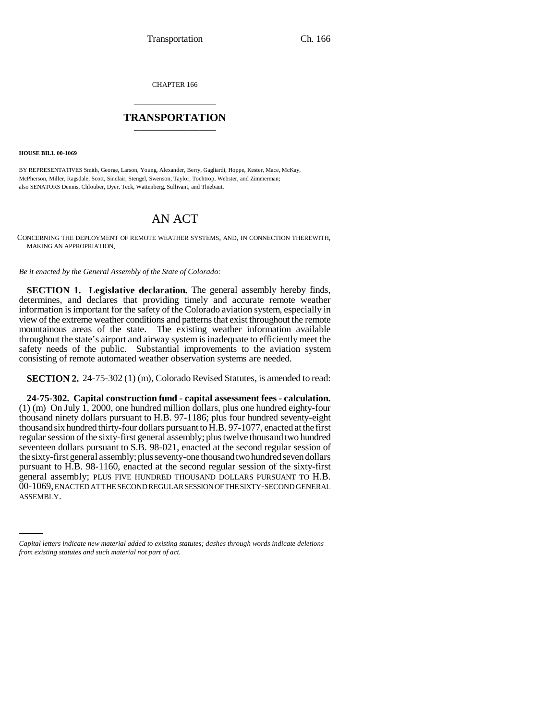CHAPTER 166 \_\_\_\_\_\_\_\_\_\_\_\_\_\_\_

## **TRANSPORTATION** \_\_\_\_\_\_\_\_\_\_\_\_\_\_\_

**HOUSE BILL 00-1069** 

BY REPRESENTATIVES Smith, George, Larson, Young, Alexander, Berry, Gagliardi, Hoppe, Kester, Mace, McKay, McPherson, Miller, Ragsdale, Scott, Sinclair, Stengel, Swenson, Taylor, Tochtrop, Webster, and Zimmerman; also SENATORS Dennis, Chlouber, Dyer, Teck, Wattenberg, Sullivant, and Thiebaut.

## AN ACT

CONCERNING THE DEPLOYMENT OF REMOTE WEATHER SYSTEMS, AND, IN CONNECTION THEREWITH, MAKING AN APPROPRIATION.

*Be it enacted by the General Assembly of the State of Colorado:*

**SECTION 1. Legislative declaration.** The general assembly hereby finds, determines, and declares that providing timely and accurate remote weather information is important for the safety of the Colorado aviation system, especially in view of the extreme weather conditions and patterns that exist throughout the remote mountainous areas of the state. The existing weather information available throughout the state's airport and airway system is inadequate to efficiently meet the safety needs of the public. Substantial improvements to the aviation system consisting of remote automated weather observation systems are needed.

**SECTION 2.** 24-75-302 (1) (m), Colorado Revised Statutes, is amended to read:

00-1069, ENACTED AT THE SECOND REGULAR SESSION OF THE SIXTY-SECOND GENERAL **24-75-302. Capital construction fund - capital assessment fees - calculation.** (1) (m) On July 1, 2000, one hundred million dollars, plus one hundred eighty-four thousand ninety dollars pursuant to H.B. 97-1186; plus four hundred seventy-eight thousand six hundred thirty-four dollars pursuant to H.B. 97-1077, enacted at the first regular session of the sixty-first general assembly; plus twelve thousand two hundred seventeen dollars pursuant to S.B. 98-021, enacted at the second regular session of the sixty-first general assembly; plus seventy-one thousand two hundred seven dollars pursuant to H.B. 98-1160, enacted at the second regular session of the sixty-first general assembly; PLUS FIVE HUNDRED THOUSAND DOLLARS PURSUANT TO H.B. ASSEMBLY.

*Capital letters indicate new material added to existing statutes; dashes through words indicate deletions from existing statutes and such material not part of act.*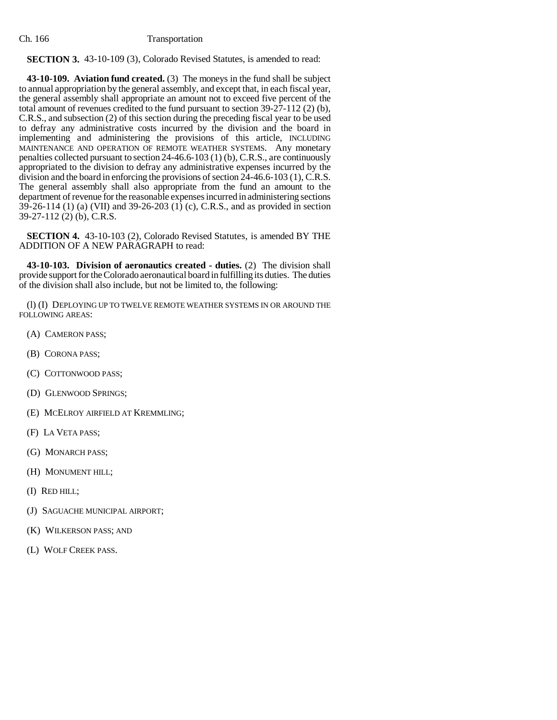## Ch. 166 Transportation

## **SECTION 3.** 43-10-109 (3), Colorado Revised Statutes, is amended to read:

**43-10-109. Aviation fund created.** (3) The moneys in the fund shall be subject to annual appropriation by the general assembly, and except that, in each fiscal year, the general assembly shall appropriate an amount not to exceed five percent of the total amount of revenues credited to the fund pursuant to section 39-27-112 (2) (b), C.R.S., and subsection (2) of this section during the preceding fiscal year to be used to defray any administrative costs incurred by the division and the board in implementing and administering the provisions of this article, INCLUDING MAINTENANCE AND OPERATION OF REMOTE WEATHER SYSTEMS. Any monetary penalties collected pursuant to section 24-46.6-103 (1) (b), C.R.S., are continuously appropriated to the division to defray any administrative expenses incurred by the division and the board in enforcing the provisions of section 24-46.6-103 (1), C.R.S. The general assembly shall also appropriate from the fund an amount to the department of revenue for the reasonable expenses incurred in administering sections 39-26-114 (1) (a) (VII) and 39-26-203 (1) (c), C.R.S., and as provided in section 39-27-112 (2) (b), C.R.S.

**SECTION 4.** 43-10-103 (2), Colorado Revised Statutes, is amended BY THE ADDITION OF A NEW PARAGRAPH to read:

**43-10-103. Division of aeronautics created - duties.** (2) The division shall provide support for the Colorado aeronautical board in fulfilling its duties. The duties of the division shall also include, but not be limited to, the following:

(l) (I) DEPLOYING UP TO TWELVE REMOTE WEATHER SYSTEMS IN OR AROUND THE FOLLOWING AREAS:

- (A) CAMERON PASS;
- (B) CORONA PASS;
- (C) COTTONWOOD PASS;
- (D) GLENWOOD SPRINGS;
- (E) MCELROY AIRFIELD AT KREMMLING;
- (F) LA VETA PASS;
- (G) MONARCH PASS;
- (H) MONUMENT HILL;
- (I) RED HILL;
- (J) SAGUACHE MUNICIPAL AIRPORT;
- (K) WILKERSON PASS; AND
- (L) WOLF CREEK PASS.